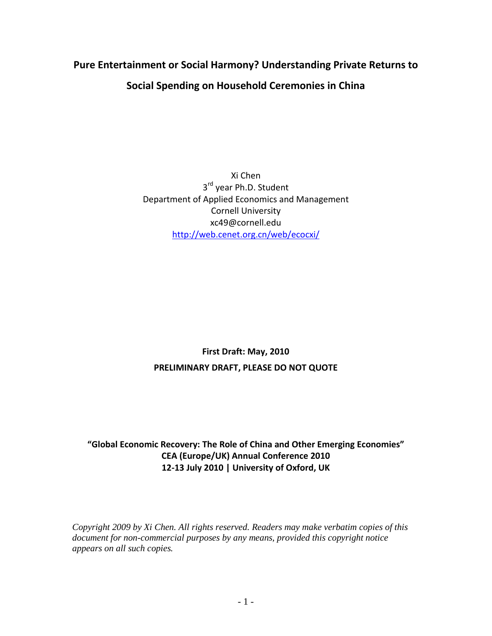# **Pure Entertainment or Social Harmony? Understanding Private Returns to Social Spending on Household Ceremonies in China**

Xi Chen 3<sup>rd</sup> year Ph.D. Student Department of Applied Economics and Management Cornell University xc49@cornell.edu <http://web.cenet.org.cn/web/ecocxi/>

## **First Draft: May, 2010 PRELIMINARY DRAFT, PLEASE DO NOT QUOTE**

### **"Global Economic Recovery: The Role of China and Other Emerging Economies" CEA (Europe/UK) Annual Conference 2010 12-13 July 2010 | University of Oxford, UK**

*Copyright 2009 by Xi Chen. All rights reserved. Readers may make verbatim copies of this document for non-commercial purposes by any means, provided this copyright notice appears on all such copies.*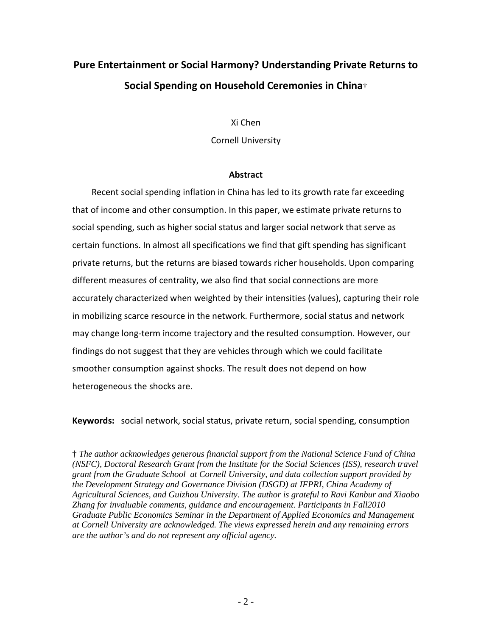# **Pure Entertainment or Social Harmony? Understanding Private Returns to Social Spending on Household Ceremonies in China**†

Xi Chen

Cornell University

#### **Abstract**

Recent social spending inflation in China has led to its growth rate far exceeding that of income and other consumption. In this paper, we estimate private returns to social spending, such as higher social status and larger social network that serve as certain functions. In almost all specifications we find that gift spending has significant private returns, but the returns are biased towards richer households. Upon comparing different measures of centrality, we also find that social connections are more accurately characterized when weighted by their intensities (values), capturing their role in mobilizing scarce resource in the network. Furthermore, social status and network may change long-term income trajectory and the resulted consumption. However, our findings do not suggest that they are vehicles through which we could facilitate smoother consumption against shocks. The result does not depend on how heterogeneous the shocks are.

**Keywords:** social network, social status, private return, social spending, consumption

† *The author acknowledges generous financial support from the National Science Fund of China (NSFC), Doctoral Research Grant from the Institute for the Social Sciences (ISS), research travel grant from the Graduate School at Cornell University, and data collection support provided by the Development Strategy and Governance Division (DSGD) at IFPRI, China Academy of Agricultural Sciences, and Guizhou University. The author is grateful to Ravi Kanbur and Xiaobo Zhang for invaluable comments, guidance and encouragement. Participants in Fall2010 Graduate Public Economics Seminar in the Department of Applied Economics and Management at Cornell University are acknowledged. The views expressed herein and any remaining errors are the author's and do not represent any official agency.*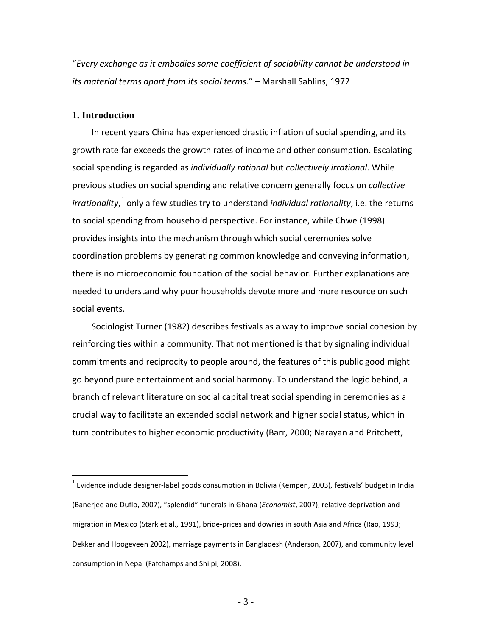"*Every exchange as it embodies some coefficient of sociability cannot be understood in its material terms apart from its social terms.*" – Marshall Sahlins, 1972

#### **1. Introduction**

In recent years China has experienced drastic inflation of social spending, and its growth rate far exceeds the growth rates of income and other consumption. Escalating social spending is regarded as *individually rational* but *collectively irrational*. While previous studies on social spending and relative concern generally focus on *collective irrationality*,<sup>[1](#page-2-0)</sup> only a few studies try to understand *individual rationality*, i.e. the returns to social spending from household perspective. For instance, while Chwe (1998) provides insights into the mechanism through which social ceremonies solve coordination problems by generating common knowledge and conveying information, there is no microeconomic foundation of the social behavior. Further explanations are needed to understand why poor households devote more and more resource on such social events.

Sociologist Turner (1982) describes festivals as a way to improve social cohesion by reinforcing ties within a community. That not mentioned is that by signaling individual commitments and reciprocity to people around, the features of this public good might go beyond pure entertainment and social harmony. To understand the logic behind, a branch of relevant literature on social capital treat social spending in ceremonies as a crucial way to facilitate an extended social network and higher social status, which in turn contributes to higher economic productivity (Barr, 2000; Narayan and Pritchett,

<span id="page-2-0"></span> $1$  Evidence include designer-label goods consumption in Bolivia (Kempen, 2003), festivals' budget in India (Banerjee and Duflo, 2007), "splendid" funerals in Ghana (*Economist*, 2007), relative deprivation and migration in Mexico (Stark et al., 1991), bride-prices and dowries in south Asia and Africa (Rao, 1993; Dekker and Hoogeveen 2002), marriage payments in Bangladesh (Anderson, 2007), and community level consumption in Nepal (Fafchamps and Shilpi, 2008).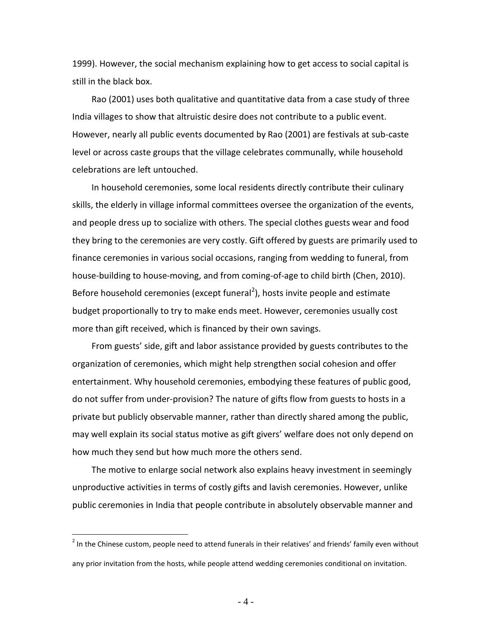1999). However, the social mechanism explaining how to get access to social capital is still in the black box.

Rao (2001) uses both qualitative and quantitative data from a case study of three India villages to show that altruistic desire does not contribute to a public event. However, nearly all public events documented by Rao (2001) are festivals at sub-caste level or across caste groups that the village celebrates communally, while household celebrations are left untouched.

In household ceremonies, some local residents directly contribute their culinary skills, the elderly in village informal committees oversee the organization of the events, and people dress up to socialize with others. The special clothes guests wear and food they bring to the ceremonies are very costly. Gift offered by guests are primarily used to finance ceremonies in various social occasions, ranging from wedding to funeral, from house-building to house-moving, and from coming-of-age to child birth (Chen, 2010). Before household ceremonies (except funeral<sup>[2](#page-3-0)</sup>), hosts invite people and estimate budget proportionally to try to make ends meet. However, ceremonies usually cost more than gift received, which is financed by their own savings.

From guests' side, gift and labor assistance provided by guests contributes to the organization of ceremonies, which might help strengthen social cohesion and offer entertainment. Why household ceremonies, embodying these features of public good, do not suffer from under-provision? The nature of gifts flow from guests to hosts in a private but publicly observable manner, rather than directly shared among the public, may well explain its social status motive as gift givers' welfare does not only depend on how much they send but how much more the others send.

The motive to enlarge social network also explains heavy investment in seemingly unproductive activities in terms of costly gifts and lavish ceremonies. However, unlike public ceremonies in India that people contribute in absolutely observable manner and

<span id="page-3-0"></span> $2$  In the Chinese custom, people need to attend funerals in their relatives' and friends' family even without any prior invitation from the hosts, while people attend wedding ceremonies conditional on invitation.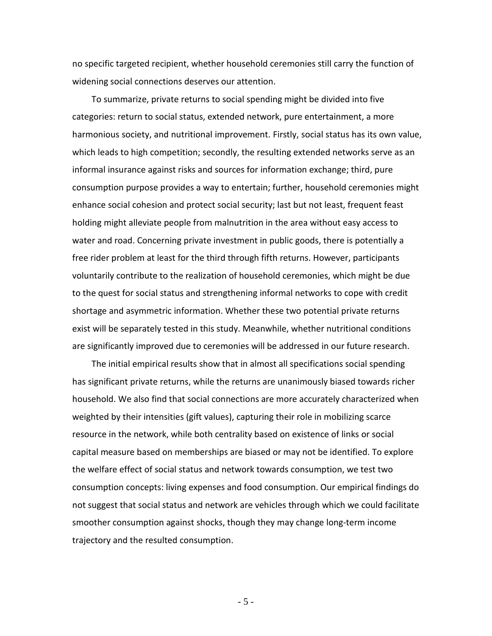no specific targeted recipient, whether household ceremonies still carry the function of widening social connections deserves our attention.

To summarize, private returns to social spending might be divided into five categories: return to social status, extended network, pure entertainment, a more harmonious society, and nutritional improvement. Firstly, social status has its own value, which leads to high competition; secondly, the resulting extended networks serve as an informal insurance against risks and sources for information exchange; third, pure consumption purpose provides a way to entertain; further, household ceremonies might enhance social cohesion and protect social security; last but not least, frequent feast holding might alleviate people from malnutrition in the area without easy access to water and road. Concerning private investment in public goods, there is potentially a free rider problem at least for the third through fifth returns. However, participants voluntarily contribute to the realization of household ceremonies, which might be due to the quest for social status and strengthening informal networks to cope with credit shortage and asymmetric information. Whether these two potential private returns exist will be separately tested in this study. Meanwhile, whether nutritional conditions are significantly improved due to ceremonies will be addressed in our future research.

The initial empirical results show that in almost all specifications social spending has significant private returns, while the returns are unanimously biased towards richer household. We also find that social connections are more accurately characterized when weighted by their intensities (gift values), capturing their role in mobilizing scarce resource in the network, while both centrality based on existence of links or social capital measure based on memberships are biased or may not be identified. To explore the welfare effect of social status and network towards consumption, we test two consumption concepts: living expenses and food consumption. Our empirical findings do not suggest that social status and network are vehicles through which we could facilitate smoother consumption against shocks, though they may change long-term income trajectory and the resulted consumption.

- 5 -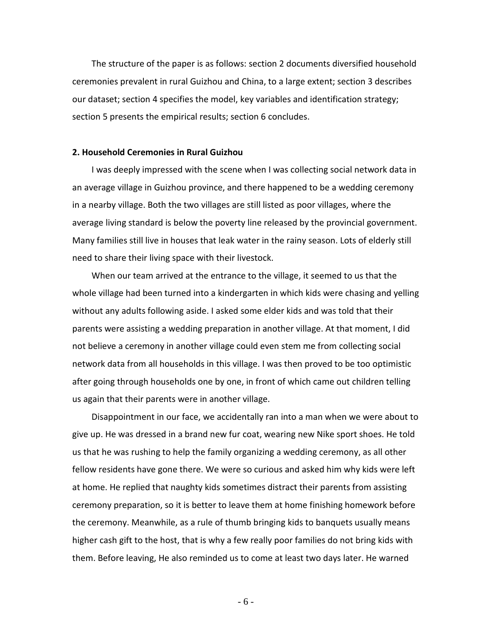The structure of the paper is as follows: section 2 documents diversified household ceremonies prevalent in rural Guizhou and China, to a large extent; section 3 describes our dataset; section 4 specifies the model, key variables and identification strategy; section 5 presents the empirical results; section 6 concludes.

#### **2. Household Ceremonies in Rural Guizhou**

I was deeply impressed with the scene when I was collecting social network data in an average village in Guizhou province, and there happened to be a wedding ceremony in a nearby village. Both the two villages are still listed as poor villages, where the average living standard is below the poverty line released by the provincial government. Many families still live in houses that leak water in the rainy season. Lots of elderly still need to share their living space with their livestock.

When our team arrived at the entrance to the village, it seemed to us that the whole village had been turned into a kindergarten in which kids were chasing and yelling without any adults following aside. I asked some elder kids and was told that their parents were assisting a wedding preparation in another village. At that moment, I did not believe a ceremony in another village could even stem me from collecting social network data from all households in this village. I was then proved to be too optimistic after going through households one by one, in front of which came out children telling us again that their parents were in another village.

Disappointment in our face, we accidentally ran into a man when we were about to give up. He was dressed in a brand new fur coat, wearing new Nike sport shoes. He told us that he was rushing to help the family organizing a wedding ceremony, as all other fellow residents have gone there. We were so curious and asked him why kids were left at home. He replied that naughty kids sometimes distract their parents from assisting ceremony preparation, so it is better to leave them at home finishing homework before the ceremony. Meanwhile, as a rule of thumb bringing kids to banquets usually means higher cash gift to the host, that is why a few really poor families do not bring kids with them. Before leaving, He also reminded us to come at least two days later. He warned

- 6 -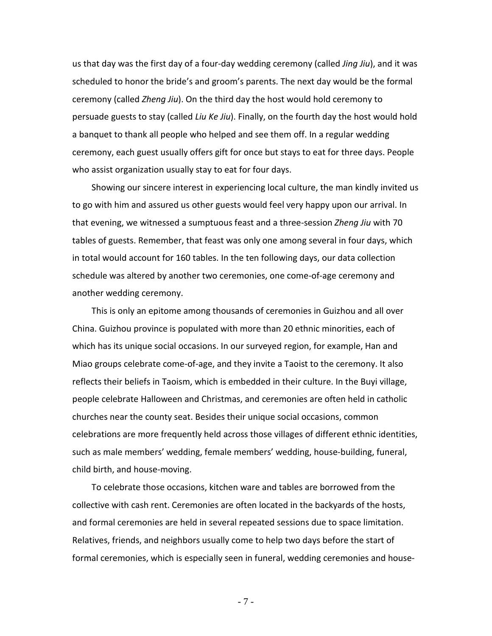us that day was the first day of a four-day wedding ceremony (called *Jing Jiu*), and it was scheduled to honor the bride's and groom's parents. The next day would be the formal ceremony (called *Zheng Jiu*). On the third day the host would hold ceremony to persuade guests to stay (called *Liu Ke Jiu*). Finally, on the fourth day the host would hold a banquet to thank all people who helped and see them off. In a regular wedding ceremony, each guest usually offers gift for once but stays to eat for three days. People who assist organization usually stay to eat for four days.

Showing our sincere interest in experiencing local culture, the man kindly invited us to go with him and assured us other guests would feel very happy upon our arrival. In that evening, we witnessed a sumptuous feast and a three-session *Zheng Jiu* with 70 tables of guests. Remember, that feast was only one among several in four days, which in total would account for 160 tables. In the ten following days, our data collection schedule was altered by another two ceremonies, one come-of-age ceremony and another wedding ceremony.

This is only an epitome among thousands of ceremonies in Guizhou and all over China. Guizhou province is populated with more than 20 ethnic minorities, each of which has its unique social occasions. In our surveyed region, for example, Han and Miao groups celebrate come-of-age, and they invite a Taoist to the ceremony. It also reflects their beliefs in Taoism, which is embedded in their culture. In the Buyi village, people celebrate Halloween and Christmas, and ceremonies are often held in catholic churches near the county seat. Besides their unique social occasions, common celebrations are more frequently held across those villages of different ethnic identities, such as male members' wedding, female members' wedding, house-building, funeral, child birth, and house-moving.

To celebrate those occasions, kitchen ware and tables are borrowed from the collective with cash rent. Ceremonies are often located in the backyards of the hosts, and formal ceremonies are held in several repeated sessions due to space limitation. Relatives, friends, and neighbors usually come to help two days before the start of formal ceremonies, which is especially seen in funeral, wedding ceremonies and house-

- 7 -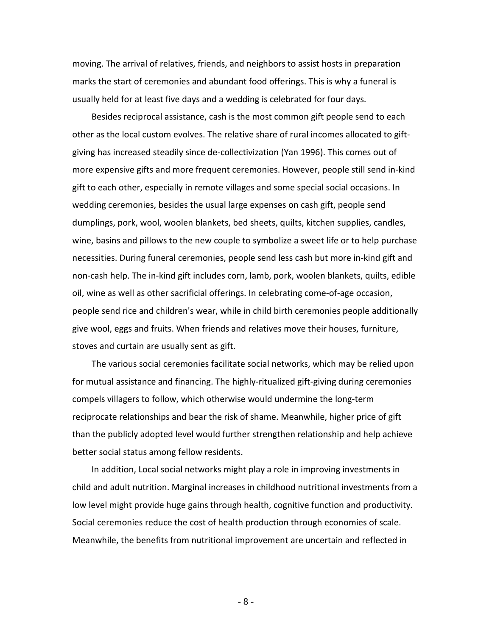moving. The arrival of relatives, friends, and neighbors to assist hosts in preparation marks the start of ceremonies and abundant food offerings. This is why a funeral is usually held for at least five days and a wedding is celebrated for four days.

Besides reciprocal assistance, cash is the most common gift people send to each other as the local custom evolves. The relative share of rural incomes allocated to giftgiving has increased steadily since de-collectivization (Yan 1996). This comes out of more expensive gifts and more frequent ceremonies. However, people still send in-kind gift to each other, especially in remote villages and some special social occasions. In wedding ceremonies, besides the usual large expenses on cash gift, people send dumplings, pork, wool, woolen blankets, bed sheets, quilts, kitchen supplies, candles, wine, basins and pillows to the new couple to symbolize a sweet life or to help purchase necessities. During funeral ceremonies, people send less cash but more in-kind gift and non-cash help. The in-kind gift includes corn, lamb, pork, woolen blankets, quilts, edible oil, wine as well as other sacrificial offerings. In celebrating come-of-age occasion, people send rice and children's wear, while in child birth ceremonies people additionally give wool, eggs and fruits. When friends and relatives move their houses, furniture, stoves and curtain are usually sent as gift.

The various social ceremonies facilitate social networks, which may be relied upon for mutual assistance and financing. The highly-ritualized gift-giving during ceremonies compels villagers to follow, which otherwise would undermine the long-term reciprocate relationships and bear the risk of shame. Meanwhile, higher price of gift than the publicly adopted level would further strengthen relationship and help achieve better social status among fellow residents.

In addition, Local social networks might play a role in improving investments in child and adult nutrition. Marginal increases in childhood nutritional investments from a low level might provide huge gains through health, cognitive function and productivity. Social ceremonies reduce the cost of health production through economies of scale. Meanwhile, the benefits from nutritional improvement are uncertain and reflected in

- 8 -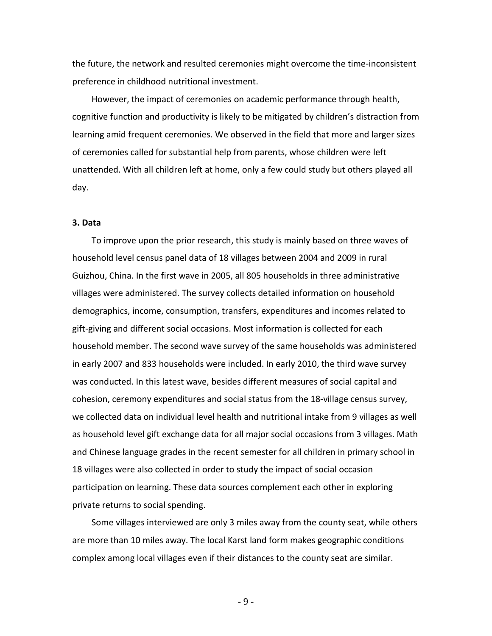the future, the network and resulted ceremonies might overcome the time-inconsistent preference in childhood nutritional investment.

However, the impact of ceremonies on academic performance through health, cognitive function and productivity is likely to be mitigated by children's distraction from learning amid frequent ceremonies. We observed in the field that more and larger sizes of ceremonies called for substantial help from parents, whose children were left unattended. With all children left at home, only a few could study but others played all day.

#### **3. Data**

To improve upon the prior research, this study is mainly based on three waves of household level census panel data of 18 villages between 2004 and 2009 in rural Guizhou, China. In the first wave in 2005, all 805 households in three administrative villages were administered. The survey collects detailed information on household demographics, income, consumption, transfers, expenditures and incomes related to gift-giving and different social occasions. Most information is collected for each household member. The second wave survey of the same households was administered in early 2007 and 833 households were included. In early 2010, the third wave survey was conducted. In this latest wave, besides different measures of social capital and cohesion, ceremony expenditures and social status from the 18-village census survey, we collected data on individual level health and nutritional intake from 9 villages as well as household level gift exchange data for all major social occasions from 3 villages. Math and Chinese language grades in the recent semester for all children in primary school in 18 villages were also collected in order to study the impact of social occasion participation on learning. These data sources complement each other in exploring private returns to social spending.

Some villages interviewed are only 3 miles away from the county seat, while others are more than 10 miles away. The local Karst land form makes geographic conditions complex among local villages even if their distances to the county seat are similar.

- 9 -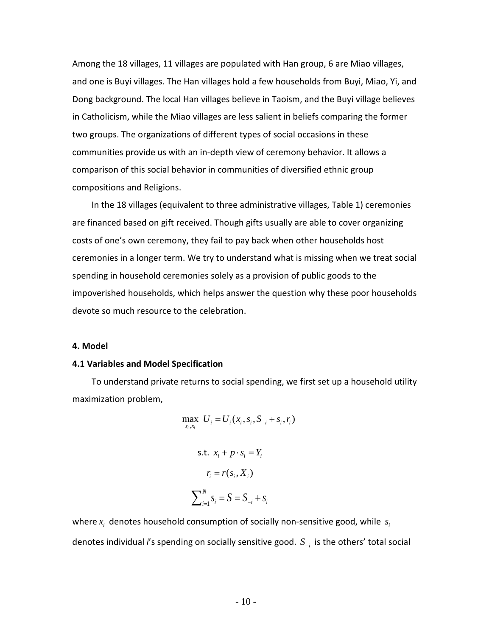Among the 18 villages, 11 villages are populated with Han group, 6 are Miao villages, and one is Buyi villages. The Han villages hold a few households from Buyi, Miao, Yi, and Dong background. The local Han villages believe in Taoism, and the Buyi village believes in Catholicism, while the Miao villages are less salient in beliefs comparing the former two groups. The organizations of different types of social occasions in these communities provide us with an in-depth view of ceremony behavior. It allows a comparison of this social behavior in communities of diversified ethnic group compositions and Religions.

In the 18 villages (equivalent to three administrative villages, Table 1) ceremonies are financed based on gift received. Though gifts usually are able to cover organizing costs of one's own ceremony, they fail to pay back when other households host ceremonies in a longer term. We try to understand what is missing when we treat social spending in household ceremonies solely as a provision of public goods to the impoverished households, which helps answer the question why these poor households devote so much resource to the celebration.

#### **4. Model**

#### **4.1 Variables and Model Specification**

To understand private returns to social spending, we first set up a household utility maximization problem,

$$
\max_{s_i, x_i} U_i = U_i(x_i, s_i, S_{-i} + s_i, r_i)
$$
  
s.t.  $x_i + p \cdot s_i = Y_i$   

$$
r_i = r(s_i, X_i)
$$
  

$$
\sum_{i=1}^N s_i = S = S_{-i} + s_i
$$

where  $x_i$  denotes household consumption of socially non-sensitive good, while  $s_i$ denotes individual *i*'s spending on socially sensitive good. *S*<sub>−*i*</sub> is the others' total social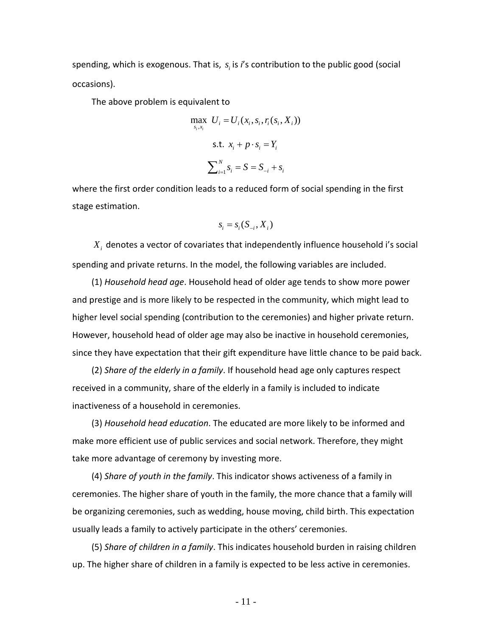spending, which is exogenous. That is,  $s<sub>i</sub>$  is *i*'s contribution to the public good (social occasions).

The above problem is equivalent to

$$
\max_{s_i, x_i} U_i = U_i(x_i, s_i, r_i(s_i, X_i))
$$
  
s.t.  $x_i + p \cdot s_i = Y_i$   

$$
\sum_{i=1}^N s_i = S = S_{-i} + s_i
$$

where the first order condition leads to a reduced form of social spending in the first stage estimation.

$$
s_i = s_i(S_{-i}, X_i)
$$

*Xi* denotes a vector of covariates that independently influence household i's social spending and private returns. In the model, the following variables are included.

(1) *Household head age*. Household head of older age tends to show more power and prestige and is more likely to be respected in the community, which might lead to higher level social spending (contribution to the ceremonies) and higher private return. However, household head of older age may also be inactive in household ceremonies, since they have expectation that their gift expenditure have little chance to be paid back.

(2) *Share of the elderly in a family*. If household head age only captures respect received in a community, share of the elderly in a family is included to indicate inactiveness of a household in ceremonies.

(3) *Household head education*. The educated are more likely to be informed and make more efficient use of public services and social network. Therefore, they might take more advantage of ceremony by investing more.

(4) *Share of youth in the family*. This indicator shows activeness of a family in ceremonies. The higher share of youth in the family, the more chance that a family will be organizing ceremonies, such as wedding, house moving, child birth. This expectation usually leads a family to actively participate in the others' ceremonies.

(5) *Share of children in a family*. This indicates household burden in raising children up. The higher share of children in a family is expected to be less active in ceremonies.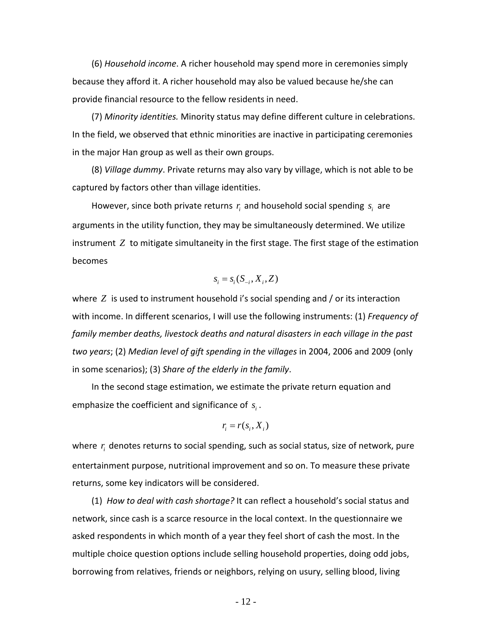(6) *Household income*. A richer household may spend more in ceremonies simply because they afford it. A richer household may also be valued because he/she can provide financial resource to the fellow residents in need.

(7) *Minority identities.* Minority status may define different culture in celebrations. In the field, we observed that ethnic minorities are inactive in participating ceremonies in the major Han group as well as their own groups.

(8) *Village dummy*. Private returns may also vary by village, which is not able to be captured by factors other than village identities.

However, since both private returns  $r_i$  and household social spending  $s_i$  are arguments in the utility function, they may be simultaneously determined. We utilize instrument *Z* to mitigate simultaneity in the first stage. The first stage of the estimation becomes

$$
s_i = s_i(S_{-i}, X_i, Z)
$$

where *Z* is used to instrument household i's social spending and / or its interaction with income. In different scenarios, I will use the following instruments: (1) *Frequency of family member deaths, livestock deaths and natural disasters in each village in the past two years*; (2) *Median level of gift spending in the villages* in 2004, 2006 and 2009 (only in some scenarios); (3) *Share of the elderly in the family*.

In the second stage estimation, we estimate the private return equation and emphasize the coefficient and significance of  $s_i$ .

$$
r_i = r(s_i, X_i)
$$

where r<sub>i</sub> denotes returns to social spending, such as social status, size of network, pure entertainment purpose, nutritional improvement and so on. To measure these private returns, some key indicators will be considered.

(1) *How to deal with cash shortage?* It can reflect a household's social status and network, since cash is a scarce resource in the local context. In the questionnaire we asked respondents in which month of a year they feel short of cash the most. In the multiple choice question options include selling household properties, doing odd jobs, borrowing from relatives, friends or neighbors, relying on usury, selling blood, living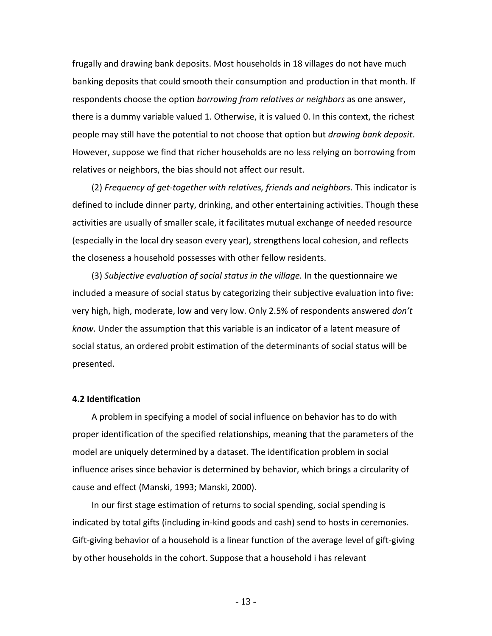frugally and drawing bank deposits. Most households in 18 villages do not have much banking deposits that could smooth their consumption and production in that month. If respondents choose the option *borrowing from relatives or neighbors* as one answer, there is a dummy variable valued 1. Otherwise, it is valued 0. In this context, the richest people may still have the potential to not choose that option but *drawing bank deposit*. However, suppose we find that richer households are no less relying on borrowing from relatives or neighbors, the bias should not affect our result.

(2) *Frequency of get-together with relatives, friends and neighbors*. This indicator is defined to include dinner party, drinking, and other entertaining activities. Though these activities are usually of smaller scale, it facilitates mutual exchange of needed resource (especially in the local dry season every year), strengthens local cohesion, and reflects the closeness a household possesses with other fellow residents.

(3) *Subjective evaluation of social status in the village.* In the questionnaire we included a measure of social status by categorizing their subjective evaluation into five: very high, high, moderate, low and very low. Only 2.5% of respondents answered *don't know*. Under the assumption that this variable is an indicator of a latent measure of social status, an ordered probit estimation of the determinants of social status will be presented.

#### **4.2 Identification**

A problem in specifying a model of social influence on behavior has to do with proper identification of the specified relationships, meaning that the parameters of the model are uniquely determined by a dataset. The identification problem in social influence arises since behavior is determined by behavior, which brings a circularity of cause and effect (Manski, 1993; Manski, 2000).

In our first stage estimation of returns to social spending, social spending is indicated by total gifts (including in-kind goods and cash) send to hosts in ceremonies. Gift-giving behavior of a household is a linear function of the average level of gift-giving by other households in the cohort. Suppose that a household i has relevant

- 13 -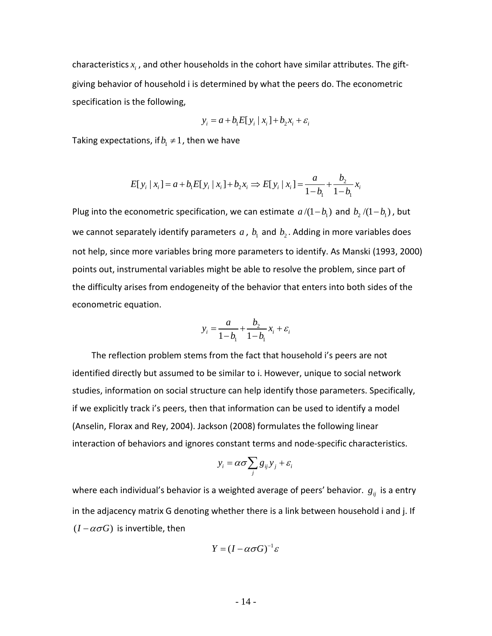characteristics  $x_i$ , and other households in the cohort have similar attributes. The giftgiving behavior of household i is determined by what the peers do. The econometric specification is the following,

$$
y_i = a + b_1 E[y_i | x_i] + b_2 x_i + \varepsilon_i
$$

Taking expectations, if  $b_1 \neq 1$ , then we have

$$
E[y_i | x_i] = a + b_1 E[y_i | x_i] + b_2 x_i \Rightarrow E[y_i | x_i] = \frac{a}{1 - b_1} + \frac{b_2}{1 - b_1} x_i
$$

Plug into the econometric specification, we can estimate  $a/(1 - b_1)$  and  $b_2/(1 - b_1)$ , but we cannot separately identify parameters  $a$ ,  $b<sub>1</sub>$  and  $b<sub>2</sub>$ . Adding in more variables does not help, since more variables bring more parameters to identify. As Manski (1993, 2000) points out, instrumental variables might be able to resolve the problem, since part of the difficulty arises from endogeneity of the behavior that enters into both sides of the econometric equation.

$$
y_i = \frac{a}{1 - b_1} + \frac{b_2}{1 - b_1} x_i + \varepsilon_i
$$

The reflection problem stems from the fact that household i's peers are not identified directly but assumed to be similar to i. However, unique to social network studies, information on social structure can help identify those parameters. Specifically, if we explicitly track i's peers, then that information can be used to identify a model (Anselin, Florax and Rey, 2004). Jackson (2008) formulates the following linear interaction of behaviors and ignores constant terms and node-specific characteristics.

$$
y_i = \alpha \sigma \sum_j g_{ij} y_j + \varepsilon_i
$$

where each individual's behavior is a weighted average of peers' behavior.  $g_{ij}$  is a entry in the adjacency matrix G denoting whether there is a link between household i and j. If  $(I - \alpha \sigma G)$  is invertible, then

$$
Y=(I-\alpha\sigma G)^{-1}\varepsilon
$$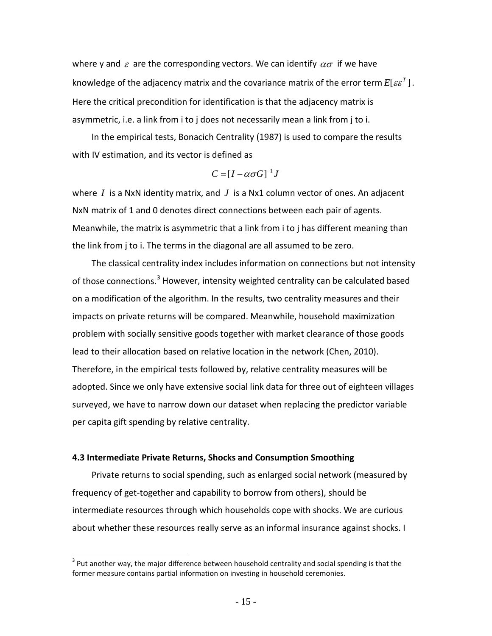where y and  $\varepsilon$  are the corresponding vectors. We can identify  $\alpha\sigma$  if we have knowledge of the adjacency matrix and the covariance matrix of the error term  $E[\varepsilon \varepsilon^T]$ . Here the critical precondition for identification is that the adjacency matrix is asymmetric, i.e. a link from i to j does not necessarily mean a link from j to i.

In the empirical tests, Bonacich Centrality (1987) is used to compare the results with IV estimation, and its vector is defined as

$$
C=[I-\alpha\sigma G]^{-1}J
$$

where *I* is a NxN identity matrix, and *J* is a Nx1 column vector of ones. An adjacent NxN matrix of 1 and 0 denotes direct connections between each pair of agents. Meanwhile, the matrix is asymmetric that a link from i to j has different meaning than the link from j to i. The terms in the diagonal are all assumed to be zero.

The classical centrality index includes information on connections but not intensity of those connections.<sup>[3](#page-14-0)</sup> However, intensity weighted centrality can be calculated based on a modification of the algorithm. In the results, two centrality measures and their impacts on private returns will be compared. Meanwhile, household maximization problem with socially sensitive goods together with market clearance of those goods lead to their allocation based on relative location in the network (Chen, 2010). Therefore, in the empirical tests followed by, relative centrality measures will be adopted. Since we only have extensive social link data for three out of eighteen villages surveyed, we have to narrow down our dataset when replacing the predictor variable per capita gift spending by relative centrality.

#### **4.3 Intermediate Private Returns, Shocks and Consumption Smoothing**

Private returns to social spending, such as enlarged social network (measured by frequency of get-together and capability to borrow from others), should be intermediate resources through which households cope with shocks. We are curious about whether these resources really serve as an informal insurance against shocks. I

<span id="page-14-0"></span> $3$  Put another way, the major difference between household centrality and social spending is that the former measure contains partial information on investing in household ceremonies.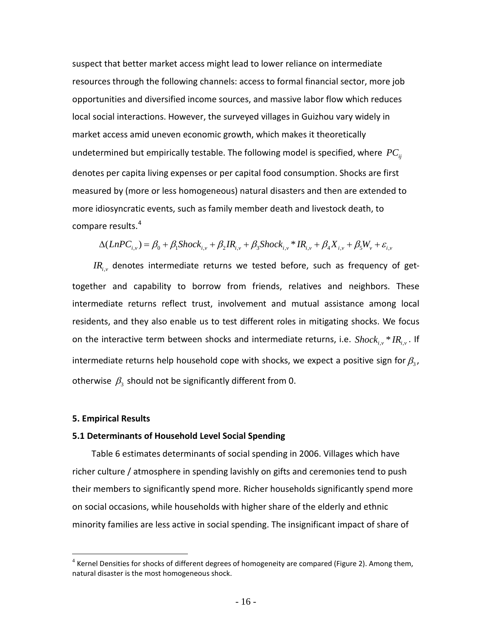suspect that better market access might lead to lower reliance on intermediate resources through the following channels: access to formal financial sector, more job opportunities and diversified income sources, and massive labor flow which reduces local social interactions. However, the surveyed villages in Guizhou vary widely in market access amid uneven economic growth, which makes it theoretically undetermined but empirically testable. The following model is specified, where  $PC_{ij}$ denotes per capita living expenses or per capital food consumption. Shocks are first measured by (more or less homogeneous) natural disasters and then are extended to more idiosyncratic events, such as family member death and livestock death, to compare results.<sup>[4](#page-15-0)</sup>

$$
\Delta(LnPC_{i,v}) = \beta_0 + \beta_1 Shock_{i,v} + \beta_2 IR_{i,v} + \beta_3 Shock_{i,v} * IR_{i,v} + \beta_4 X_{i,v} + \beta_5 W_v + \varepsilon_{i,v}
$$

 $IR_{i,v}$  denotes intermediate returns we tested before, such as frequency of gettogether and capability to borrow from friends, relatives and neighbors. These intermediate returns reflect trust, involvement and mutual assistance among local residents, and they also enable us to test different roles in mitigating shocks. We focus on the interactive term between shocks and intermediate returns, i.e.  ${Shock}_{i,\nu}$ <sup>\*</sup> ${IR}_{i,\nu}$ . If intermediate returns help household cope with shocks, we expect a positive sign for  $\beta_3$ , otherwise  $\beta_3$  should not be significantly different from 0.

#### **5. Empirical Results**

#### **5.1 Determinants of Household Level Social Spending**

Table 6 estimates determinants of social spending in 2006. Villages which have richer culture / atmosphere in spending lavishly on gifts and ceremonies tend to push their members to significantly spend more. Richer households significantly spend more on social occasions, while households with higher share of the elderly and ethnic minority families are less active in social spending. The insignificant impact of share of

<span id="page-15-0"></span> $4$  Kernel Densities for shocks of different degrees of homogeneity are compared (Figure 2). Among them, natural disaster is the most homogeneous shock.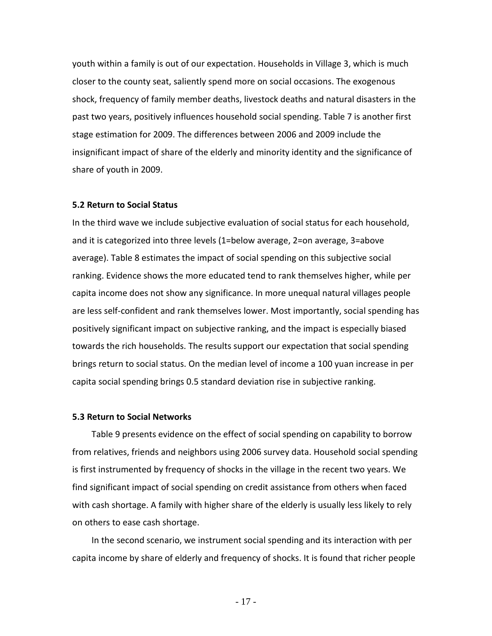youth within a family is out of our expectation. Households in Village 3, which is much closer to the county seat, saliently spend more on social occasions. The exogenous shock, frequency of family member deaths, livestock deaths and natural disasters in the past two years, positively influences household social spending. Table 7 is another first stage estimation for 2009. The differences between 2006 and 2009 include the insignificant impact of share of the elderly and minority identity and the significance of share of youth in 2009.

#### **5.2 Return to Social Status**

In the third wave we include subjective evaluation of social status for each household, and it is categorized into three levels (1=below average, 2=on average, 3=above average). Table 8 estimates the impact of social spending on this subjective social ranking. Evidence shows the more educated tend to rank themselves higher, while per capita income does not show any significance. In more unequal natural villages people are less self-confident and rank themselves lower. Most importantly, social spending has positively significant impact on subjective ranking, and the impact is especially biased towards the rich households. The results support our expectation that social spending brings return to social status. On the median level of income a 100 yuan increase in per capita social spending brings 0.5 standard deviation rise in subjective ranking.

#### **5.3 Return to Social Networks**

Table 9 presents evidence on the effect of social spending on capability to borrow from relatives, friends and neighbors using 2006 survey data. Household social spending is first instrumented by frequency of shocks in the village in the recent two years. We find significant impact of social spending on credit assistance from others when faced with cash shortage. A family with higher share of the elderly is usually less likely to rely on others to ease cash shortage.

In the second scenario, we instrument social spending and its interaction with per capita income by share of elderly and frequency of shocks. It is found that richer people

- 17 -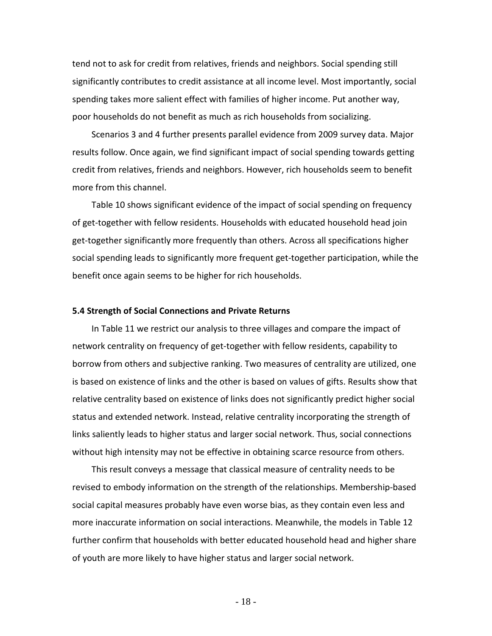tend not to ask for credit from relatives, friends and neighbors. Social spending still significantly contributes to credit assistance at all income level. Most importantly, social spending takes more salient effect with families of higher income. Put another way, poor households do not benefit as much as rich households from socializing.

Scenarios 3 and 4 further presents parallel evidence from 2009 survey data. Major results follow. Once again, we find significant impact of social spending towards getting credit from relatives, friends and neighbors. However, rich households seem to benefit more from this channel.

Table 10 shows significant evidence of the impact of social spending on frequency of get-together with fellow residents. Households with educated household head join get-together significantly more frequently than others. Across all specifications higher social spending leads to significantly more frequent get-together participation, while the benefit once again seems to be higher for rich households.

#### **5.4 Strength of Social Connections and Private Returns**

In Table 11 we restrict our analysis to three villages and compare the impact of network centrality on frequency of get-together with fellow residents, capability to borrow from others and subjective ranking. Two measures of centrality are utilized, one is based on existence of links and the other is based on values of gifts. Results show that relative centrality based on existence of links does not significantly predict higher social status and extended network. Instead, relative centrality incorporating the strength of links saliently leads to higher status and larger social network. Thus, social connections without high intensity may not be effective in obtaining scarce resource from others.

This result conveys a message that classical measure of centrality needs to be revised to embody information on the strength of the relationships. Membership-based social capital measures probably have even worse bias, as they contain even less and more inaccurate information on social interactions. Meanwhile, the models in Table 12 further confirm that households with better educated household head and higher share of youth are more likely to have higher status and larger social network.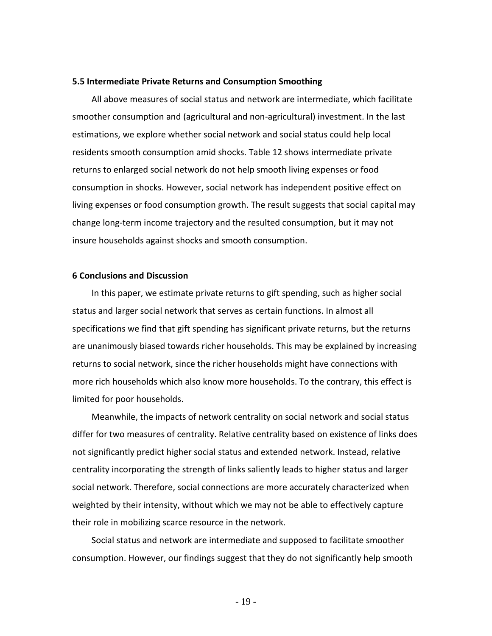#### **5.5 Intermediate Private Returns and Consumption Smoothing**

All above measures of social status and network are intermediate, which facilitate smoother consumption and (agricultural and non-agricultural) investment. In the last estimations, we explore whether social network and social status could help local residents smooth consumption amid shocks. Table 12 shows intermediate private returns to enlarged social network do not help smooth living expenses or food consumption in shocks. However, social network has independent positive effect on living expenses or food consumption growth. The result suggests that social capital may change long-term income trajectory and the resulted consumption, but it may not insure households against shocks and smooth consumption.

#### **6 Conclusions and Discussion**

In this paper, we estimate private returns to gift spending, such as higher social status and larger social network that serves as certain functions. In almost all specifications we find that gift spending has significant private returns, but the returns are unanimously biased towards richer households. This may be explained by increasing returns to social network, since the richer households might have connections with more rich households which also know more households. To the contrary, this effect is limited for poor households.

Meanwhile, the impacts of network centrality on social network and social status differ for two measures of centrality. Relative centrality based on existence of links does not significantly predict higher social status and extended network. Instead, relative centrality incorporating the strength of links saliently leads to higher status and larger social network. Therefore, social connections are more accurately characterized when weighted by their intensity, without which we may not be able to effectively capture their role in mobilizing scarce resource in the network.

Social status and network are intermediate and supposed to facilitate smoother consumption. However, our findings suggest that they do not significantly help smooth

- 19 -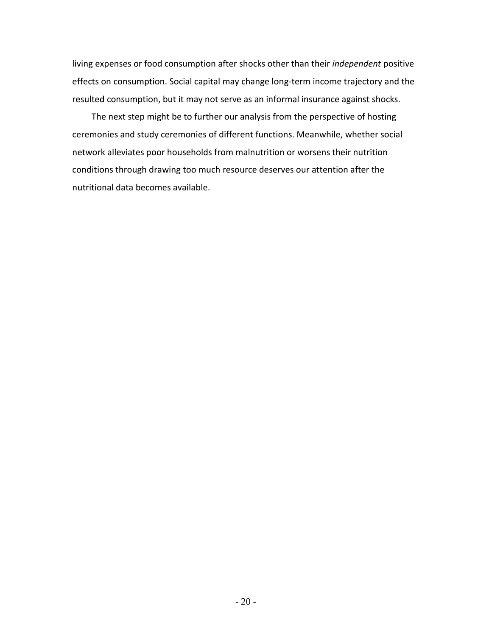living expenses or food consumption after shocks other than their *independent* positive effects on consumption. Social capital may change long-term income trajectory and the resulted consumption, but it may not serve as an informal insurance against shocks.

The next step might be to further our analysis from the perspective of hosting ceremonies and study ceremonies of different functions. Meanwhile, whether social network alleviates poor households from malnutrition or worsens their nutrition conditions through drawing too much resource deserves our attention after the nutritional data becomes available.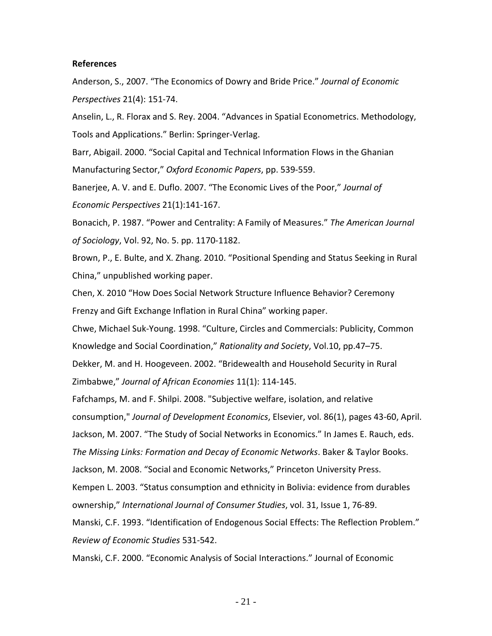#### **References**

Anderson, S., 2007. "The Economics of Dowry and Bride Price." *Journal of Economic Perspectives* 21(4): 151-74.

Anselin, L., R. Florax and S. Rey. 2004. "Advances in Spatial Econometrics. Methodology, Tools and Applications." Berlin: Springer-Verlag.

Barr, Abigail. 2000. "Social Capital and Technical Information Flows in the Ghanian Manufacturing Sector," *Oxford Economic Papers*, pp. 539-559.

Banerjee, A. V. and E. Duflo. 2007. "The Economic Lives of the Poor," *Journal of Economic Perspectives* 21(1):141-167.

Bonacich, P. 1987. "Power and Centrality: A Family of Measures." *The American Journal of Sociology*, Vol. 92, No. 5. pp. 1170-1182.

Brown, P., E. Bulte, and X. Zhang. 2010. "Positional Spending and Status Seeking in Rural China," unpublished working paper.

Chen, X. 2010 "How Does Social Network Structure Influence Behavior? Ceremony Frenzy and Gift Exchange Inflation in Rural China" working paper.

Chwe, Michael Suk-Young. 1998. "Culture, Circles and Commercials: Publicity, Common Knowledge and Social Coordination," *Rationality and Society*, Vol.10, pp.47–75. Dekker, M. and H. Hoogeveen. 2002. "Bridewealth and Household Security in Rural

Zimbabwe," *Journal of African Economies* 11(1): 114-145.

Fafchamps, M. and F. Shilpi. 2008. "Subjective welfare, isolation, and relative consumption," *Journal of Development Economics*, Elsevier, vol. 86(1), pages 43-60, April.

Jackson, M. 2007. "The Study of Social Networks in Economics." In James E. Rauch, eds.

*The Missing Links: Formation and Decay of Economic Networks*. Baker & Taylor Books.

Jackson, M. 2008. "Social and Economic Networks," Princeton University Press.

Kempen L. 2003. "Status consumption and ethnicity in Bolivia: evidence from durables

ownership," *International Journal of Consumer Studies*, vol. 31, Issue 1, 76-89.

Manski, C.F. 1993. "Identification of Endogenous Social Effects: The Reflection Problem." *Review of Economic Studies* 531-542.

Manski, C.F. 2000. "Economic Analysis of Social Interactions." Journal of Economic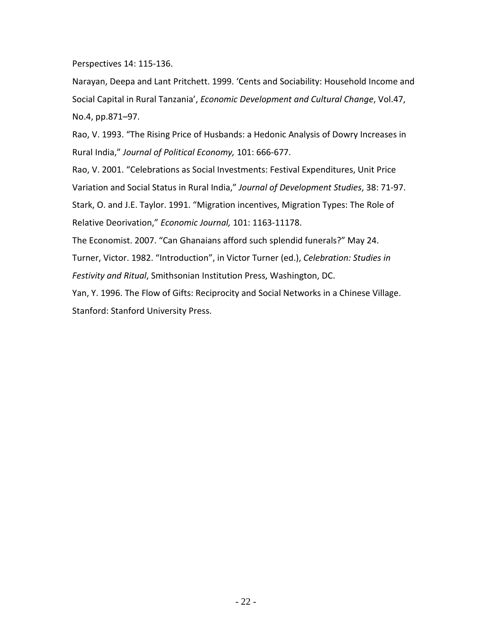Perspectives 14: 115-136.

Narayan, Deepa and Lant Pritchett. 1999. 'Cents and Sociability: Household Income and Social Capital in Rural Tanzania', *Economic Development and Cultural Change*, Vol.47, No.4, pp.871–97.

Rao, V. 1993. "The Rising Price of Husbands: a Hedonic Analysis of Dowry Increases in Rural India," *Journal of Political Economy,* 101: 666-677.

Rao, V. 2001. "Celebrations as Social Investments: Festival Expenditures, Unit Price Variation and Social Status in Rural India," *Journal of Development Studies*, 38: 71-97. Stark, O. and J.E. Taylor. 1991. "Migration incentives, Migration Types: The Role of Relative Deorivation," *Economic Journal,* 101: 1163-11178.

The Economist. 2007. "Can Ghanaians afford such splendid funerals?" May 24. Turner, Victor. 1982. "Introduction", in Victor Turner (ed.), *Celebration: Studies in Festivity and Ritual*, Smithsonian Institution Press, Washington, DC.

Yan, Y. 1996. The Flow of Gifts: Reciprocity and Social Networks in a Chinese Village. Stanford: Stanford University Press.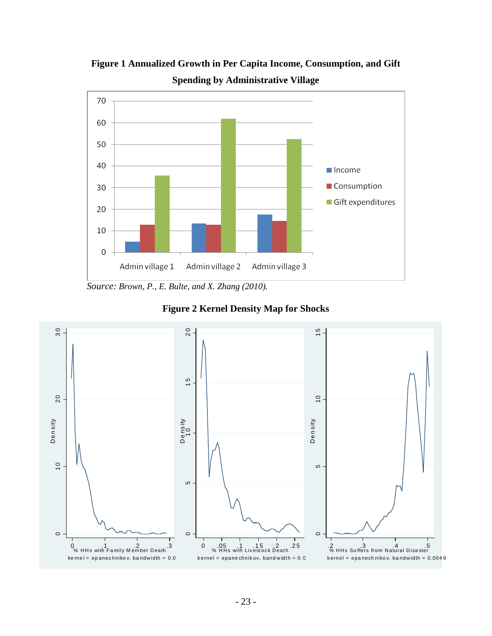

**Figure 1 Annualized Growth in Per Capita Income, Consumption, and Gift Spending by Administrative Village**

 *Source: Brown, P., E. Bulte, and X. Zhang (2010).*



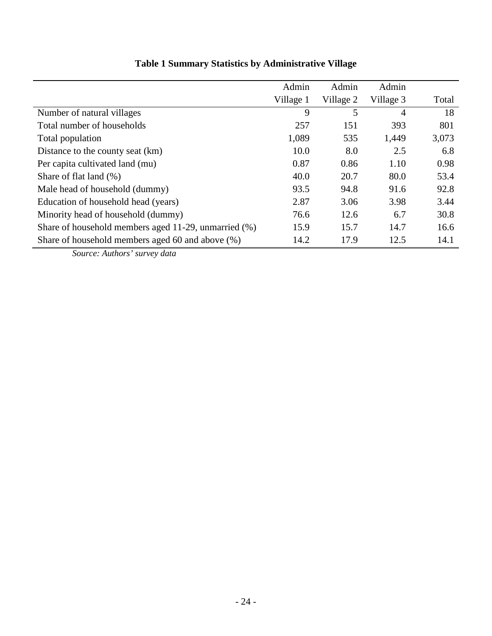| Admin<br>Admin<br>Village 1<br>Village 2<br>9 | Admin<br>Village 3                                                           | Total                                                                     |
|-----------------------------------------------|------------------------------------------------------------------------------|---------------------------------------------------------------------------|
|                                               |                                                                              |                                                                           |
|                                               |                                                                              |                                                                           |
|                                               | 5<br>4                                                                       | 18                                                                        |
|                                               | 393                                                                          | 801                                                                       |
|                                               | 1,449                                                                        | 3,073                                                                     |
|                                               | 2.5                                                                          | 6.8                                                                       |
|                                               | 1.10                                                                         | 0.98                                                                      |
|                                               | 80.0                                                                         | 53.4                                                                      |
|                                               | 91.6                                                                         | 92.8                                                                      |
|                                               | 3.98                                                                         | 3.44                                                                      |
|                                               | 6.7                                                                          | 30.8                                                                      |
|                                               | 14.7                                                                         | 16.6                                                                      |
|                                               | 12.5                                                                         | 14.1                                                                      |
|                                               | 257<br>1,089<br>10.0<br>0.87<br>40.0<br>93.5<br>2.87<br>76.6<br>15.9<br>14.2 | 151<br>535<br>8.0<br>0.86<br>20.7<br>94.8<br>3.06<br>12.6<br>15.7<br>17.9 |

## **Table 1 Summary Statistics by Administrative Village**

*Source: Authors' survey data*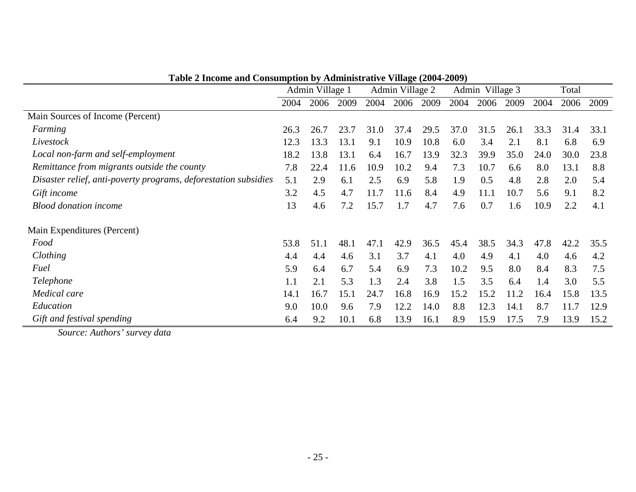|                                                                 | Admin Village 1 |      |      |      | Admin Village 2 |      |      | Admin Village 3 |      |      | Total |      |
|-----------------------------------------------------------------|-----------------|------|------|------|-----------------|------|------|-----------------|------|------|-------|------|
|                                                                 | 2004            | 2006 | 2009 | 2004 | 2006            | 2009 | 2004 | 2006            | 2009 | 2004 | 2006  | 2009 |
| Main Sources of Income (Percent)                                |                 |      |      |      |                 |      |      |                 |      |      |       |      |
| Farming                                                         | 26.3            | 26.7 | 23.7 | 31.0 | 37.4            | 29.5 | 37.0 | 31.5            | 26.1 | 33.3 | 31.4  | 33.1 |
| Livestock                                                       | 12.3            | 13.3 | 13.1 | 9.1  | 10.9            | 10.8 | 6.0  | 3.4             | 2.1  | 8.1  | 6.8   | 6.9  |
| Local non-farm and self-employment                              | 18.2            | 13.8 | 13.1 | 6.4  | 16.7            | 13.9 | 32.3 | 39.9            | 35.0 | 24.0 | 30.0  | 23.8 |
| Remittance from migrants outside the county                     | 7.8             | 22.4 | 11.6 | 10.9 | 10.2            | 9.4  | 7.3  | 10.7            | 6.6  | 8.0  | 13.1  | 8.8  |
| Disaster relief, anti-poverty programs, deforestation subsidies | 5.1             | 2.9  | 6.1  | 2.5  | 6.9             | 5.8  | 1.9  | 0.5             | 4.8  | 2.8  | 2.0   | 5.4  |
| Gift income                                                     | 3.2             | 4.5  | 4.7  | 11.7 | 11.6            | 8.4  | 4.9  | 11.1            | 10.7 | 5.6  | 9.1   | 8.2  |
| <b>Blood donation income</b>                                    | 13              | 4.6  | 7.2  | 15.7 | 1.7             | 4.7  | 7.6  | 0.7             | 1.6  | 10.9 | 2.2   | 4.1  |
| Main Expenditures (Percent)                                     |                 |      |      |      |                 |      |      |                 |      |      |       |      |
| Food                                                            | 53.8            | 51.1 | 48.1 | 47.1 | 42.9            | 36.5 | 45.4 | 38.5            | 34.3 | 47.8 | 42.2  | 35.5 |
| Clothing                                                        | 4.4             | 4.4  | 4.6  | 3.1  | 3.7             | 4.1  | 4.0  | 4.9             | 4.1  | 4.0  | 4.6   | 4.2  |
| Fuel                                                            | 5.9             | 6.4  | 6.7  | 5.4  | 6.9             | 7.3  | 10.2 | 9.5             | 8.0  | 8.4  | 8.3   | 7.5  |
| Telephone                                                       | 1.1             | 2.1  | 5.3  | 1.3  | 2.4             | 3.8  | 1.5  | 3.5             | 6.4  | 1.4  | 3.0   | 5.5  |
| Medical care                                                    | 14.1            | 16.7 | 15.1 | 24.7 | 16.8            | 16.9 | 15.2 | 15.2            | 11.2 | 16.4 | 15.8  | 13.5 |
| Education                                                       | 9.0             | 10.0 | 9.6  | 7.9  | 12.2            | 14.0 | 8.8  | 12.3            | 14.1 | 8.7  | 11.7  | 12.9 |
| Gift and festival spending                                      | 6.4             | 9.2  | 10.1 | 6.8  | 13.9            | 16.1 | 8.9  | 15.9            | 17.5 | 7.9  | 13.9  | 15.2 |

*Source: Authors' survey data*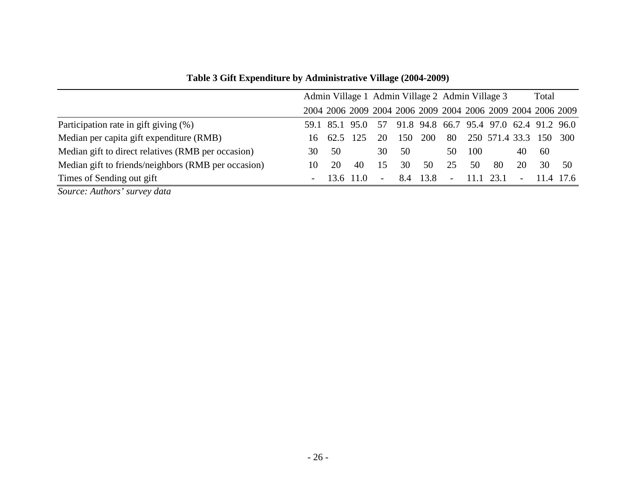|                                                     |                          |          | Admin Village 1 Admin Village 2 Admin Village 3 |                          |     |            |                                                             | Total |                        |                          |     |           |
|-----------------------------------------------------|--------------------------|----------|-------------------------------------------------|--------------------------|-----|------------|-------------------------------------------------------------|-------|------------------------|--------------------------|-----|-----------|
|                                                     |                          |          |                                                 |                          |     |            | 2004 2006 2009 2004 2006 2009 2004 2006 2009 2004 2006 2009 |       |                        |                          |     |           |
| Participation rate in gift giving (%)               |                          |          | 59.1 85.1 95.0                                  | 57                       |     |            | 91.8 94.8 66.7 95.4 97.0 62.4 91.2 96.0                     |       |                        |                          |     |           |
| Median per capita gift expenditure (RMB)            | 16.                      | 62.5 125 |                                                 | 20                       | 150 | <b>200</b> | 80                                                          |       | 250 571.4 33.3 150 300 |                          |     |           |
| Median gift to direct relatives (RMB per occasion)  | 30.                      | 50       |                                                 | 30                       | 50  |            | 50                                                          | 100   |                        | 40                       | -60 |           |
| Median gift to friends/neighbors (RMB per occasion) | 10                       | 20       | 40                                              | 15                       | 30  | 50         | 25                                                          | 50    | 80                     | 20                       | 30  | .50       |
| Times of Sending out gift                           | $\overline{\phantom{a}}$ |          | 13.6 11.0                                       | $\overline{\phantom{a}}$ | 8.4 | 13.8       | $\blacksquare$                                              | 11.1  | 23.1                   | $\overline{\phantom{a}}$ |     | 11.4 17.6 |

**Table 3 Gift Expenditure by Administrative Village (2004-2009)**

*Source: Authors' survey data*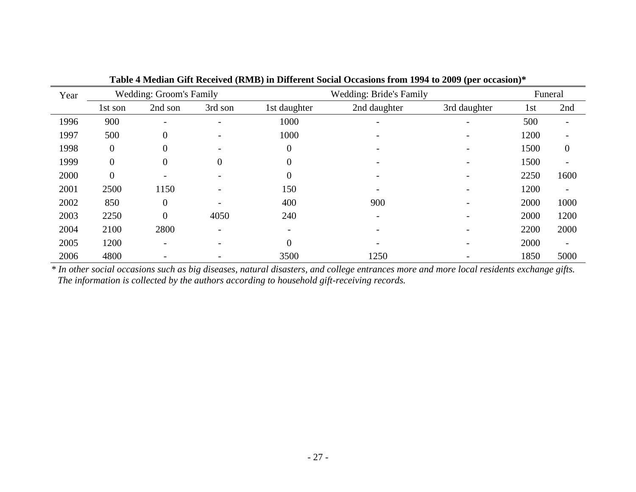| Year |                  | <b>Wedding: Groom's Family</b> |                |              | <b>Wedding: Bride's Family</b> |              |      | Funeral                  |
|------|------------------|--------------------------------|----------------|--------------|--------------------------------|--------------|------|--------------------------|
|      | 1st son          | 2nd son                        | 3rd son        | 1st daughter | 2nd daughter                   | 3rd daughter | 1st  | 2nd                      |
| 1996 | 900              |                                |                | 1000         |                                |              | 500  |                          |
| 1997 | 500              | $\boldsymbol{0}$               |                | 1000         |                                |              | 1200 |                          |
| 1998 | $\boldsymbol{0}$ | $\overline{0}$                 |                | $\theta$     |                                |              | 1500 | $\theta$                 |
| 1999 | $\overline{0}$   | $\boldsymbol{0}$               | $\overline{0}$ | $\Omega$     |                                |              | 1500 |                          |
| 2000 | $\overline{0}$   |                                |                | $\Omega$     |                                |              | 2250 | 1600                     |
| 2001 | 2500             | 1150                           |                | 150          |                                |              | 1200 | $\overline{\phantom{a}}$ |
| 2002 | 850              | $\boldsymbol{0}$               |                | 400          | 900                            |              | 2000 | 1000                     |
| 2003 | 2250             | $\overline{0}$                 | 4050           | 240          |                                |              | 2000 | 1200                     |
| 2004 | 2100             | 2800                           |                |              |                                |              | 2200 | 2000                     |
| 2005 | 1200             | $\qquad \qquad$                |                | $\Omega$     |                                |              | 2000 | $\overline{\phantom{a}}$ |
| 2006 | 4800             |                                |                | 3500         | 1250                           |              | 1850 | 5000                     |

**Table 4 Median Gift Received (RMB) in Different Social Occasions from 1994 to 2009 (per occasion)\***

*\* In other social occasions such as big diseases, natural disasters, and college entrances more and more local residents exchange gifts. The information is collected by the authors according to household gift-receiving records.*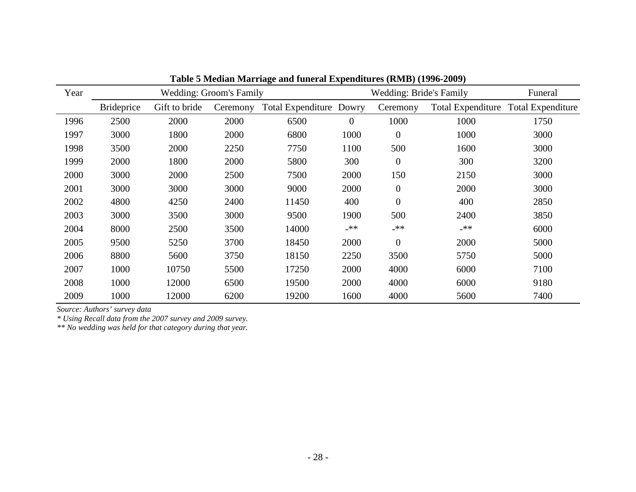| Year |                   |               | <b>Wedding: Groom's Family</b> |                         |                | <b>Wedding: Bride's Family</b> | Funeral                  |                          |
|------|-------------------|---------------|--------------------------------|-------------------------|----------------|--------------------------------|--------------------------|--------------------------|
|      | <b>Brideprice</b> | Gift to bride | Ceremony                       | Total Expenditure Dowry |                | Ceremony                       | <b>Total Expenditure</b> | <b>Total Expenditure</b> |
| 1996 | 2500              | 2000          | 2000                           | 6500                    | $\overline{0}$ | 1000                           | 1000                     | 1750                     |
| 1997 | 3000              | 1800          | 2000                           | 6800                    | 1000           | $\mathbf{0}$                   | 1000                     | 3000                     |
| 1998 | 3500              | 2000          | 2250                           | 7750                    | 1100           | 500                            | 1600                     | 3000                     |
| 1999 | 2000              | 1800          | 2000                           | 5800                    | 300            | $\mathbf{0}$                   | 300                      | 3200                     |
| 2000 | 3000              | 2000          | 2500                           | 7500                    | 2000           | 150                            | 2150                     | 3000                     |
| 2001 | 3000              | 3000          | 3000                           | 9000                    | 2000           | $\mathbf{0}$                   | 2000                     | 3000                     |
| 2002 | 4800              | 4250          | 2400                           | 11450                   | 400            | $\overline{0}$                 | 400                      | 2850                     |
| 2003 | 3000              | 3500          | 3000                           | 9500                    | 1900           | 500                            | 2400                     | 3850                     |
| 2004 | 8000              | 2500          | 3500                           | 14000                   | $-**$          | _**                            | _**                      | 6000                     |
| 2005 | 9500              | 5250          | 3700                           | 18450                   | 2000           | $\overline{0}$                 | 2000                     | 5000                     |
| 2006 | 8800              | 5600          | 3750                           | 18150                   | 2250           | 3500                           | 5750                     | 5000                     |
| 2007 | 1000              | 10750         | 5500                           | 17250                   | 2000           | 4000                           | 6000                     | 7100                     |
| 2008 | 1000              | 12000         | 6500                           | 19500                   | 2000           | 4000                           | 6000                     | 9180                     |
| 2009 | 1000              | 12000         | 6200                           | 19200                   | 1600           | 4000                           | 5600                     | 7400                     |

**Table 5 Median Marriage and funeral Expenditures (RMB) (1996-2009)**

*Source: Authors' survey data*

*\* Using Recall data from the 2007 survey and 2009 survey.*

*\*\* No wedding was held for that category during that year.*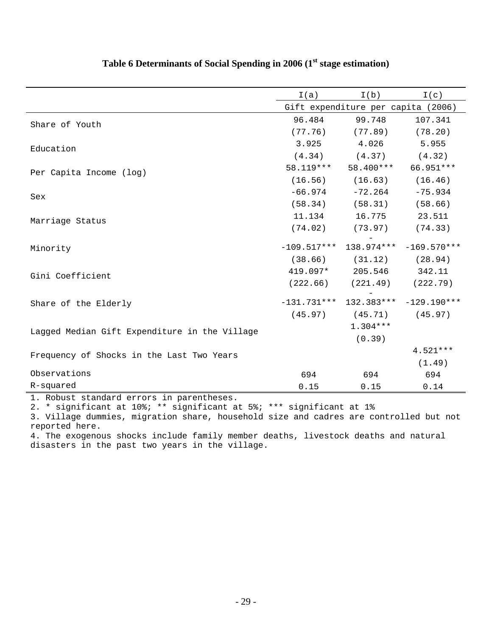|                                               | I(a)          | I(b)                               | I(c)                     |
|-----------------------------------------------|---------------|------------------------------------|--------------------------|
|                                               |               | Gift expenditure per capita (2006) |                          |
| Share of Youth                                | 96.484        | 99.748                             | 107.341                  |
|                                               | (77.76)       | (77.89)                            | (78.20)                  |
| Education                                     | 3.925         | 4.026                              | 5.955                    |
|                                               | (4.34)        |                                    | $(4.37)$ $(4.32)$        |
| Per Capita Income (log)                       | 58.119***     | 58.400***                          | 66.951 ***               |
|                                               | (16.56)       | (16.63)                            | (16.46)                  |
| Sex                                           | $-66.974$     | $-72.264$                          | $-75.934$                |
|                                               | (58.34)       | (58.31)                            | (58.66)                  |
| Marriage Status                               | 11.134        | 16.775                             | 23.511                   |
|                                               | (74.02)       | (73.97)                            | (74.33)                  |
| Minority                                      | $-109.517***$ |                                    | $138.974***$ -169.570*** |
|                                               | (38.66)       | (31.12)                            | (28.94)                  |
| Gini Coefficient                              | 419.097*      | 205.546                            | 342.11                   |
|                                               | (222.66)      |                                    | $(221.49)$ $(222.79)$    |
| Share of the Elderly                          | $-131.731***$ |                                    | $132.383***$ -129.190*** |
|                                               | (45.97)       | (45.71)                            | (45.97)                  |
| Lagged Median Gift Expenditure in the Village |               | $1.304***$                         |                          |
|                                               |               | (0.39)                             |                          |
| Frequency of Shocks in the Last Two Years     |               |                                    | $4.521***$               |
|                                               |               |                                    | (1.49)                   |
| Observations                                  | 694           | 694                                | 694                      |
| R-squared                                     | 0.15          | 0.15                               | 0.14                     |

## **Table 6 Determinants of Social Spending in 2006 (1st stage estimation)**

1. Robust standard errors in parentheses.

2. \* significant at 10%; \*\* significant at 5%; \*\*\* significant at 1%

3. Village dummies, migration share, household size and cadres are controlled but not reported here.

4. The exogenous shocks include family member deaths, livestock deaths and natural disasters in the past two years in the village.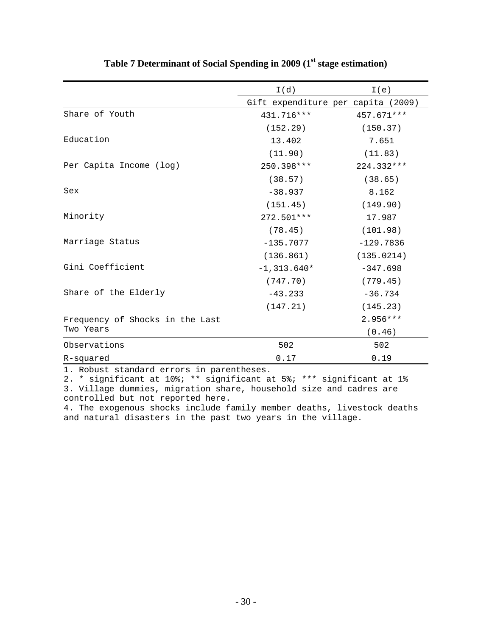|                                 | I(d)                               | I(e)        |
|---------------------------------|------------------------------------|-------------|
|                                 | Gift expenditure per capita (2009) |             |
| Share of Youth                  | 431.716***                         | 457.671 *** |
|                                 | (152.29)                           | (150.37)    |
| Education                       | 13.402                             | 7.651       |
|                                 | (11.90)                            | (11.83)     |
| Per Capita Income (log)         | 250.398***                         | 224.332***  |
|                                 | (38.57)                            | (38.65)     |
| Sex                             | $-38.937$                          | 8.162       |
|                                 | (151.45)                           | (149.90)    |
| Minority                        | 272.501 ***                        | 17.987      |
|                                 | (78.45)                            | (101.98)    |
| Marriage Status                 | $-135.7077$                        | $-129.7836$ |
|                                 | (136.861)                          | (135.0214)  |
| Gini Coefficient                | $-1,313.640*$                      | $-347.698$  |
|                                 | (747.70)                           | (779.45)    |
| Share of the Elderly            | $-43.233$                          | $-36.734$   |
|                                 | (147.21)                           | (145.23)    |
| Frequency of Shocks in the Last |                                    | $2.956***$  |
| Two Years                       |                                    | (0.46)      |
| Observations                    | 502                                | 502         |
| R-squared                       | 0.17                               | 0.19        |

## **Table 7 Determinant of Social Spending in 2009 (1st stage estimation)**

1. Robust standard errors in parentheses.

2. \* significant at 10%; \*\* significant at 5%; \*\*\* significant at 1% 3. Village dummies, migration share, household size and cadres are controlled but not reported here.

4. The exogenous shocks include family member deaths, livestock deaths and natural disasters in the past two years in the village.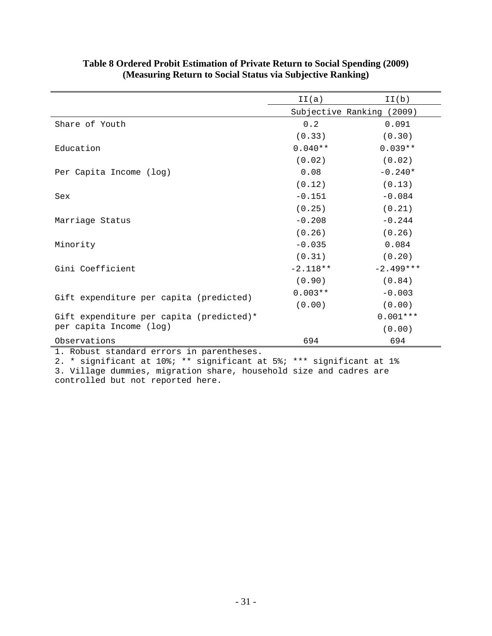|                                          | II(a)      | II(b)                     |
|------------------------------------------|------------|---------------------------|
|                                          |            | Subjective Ranking (2009) |
| Share of Youth                           | 0.2        | 0.091                     |
|                                          | (0.33)     | (0.30)                    |
| Education                                | $0.040**$  | $0.039**$                 |
|                                          | (0.02)     | (0.02)                    |
| Per Capita Income (log)                  | 0.08       | $-0.240*$                 |
|                                          | (0.12)     | (0.13)                    |
| Sex                                      | $-0.151$   | $-0.084$                  |
|                                          | (0.25)     | (0.21)                    |
| Marriage Status                          | $-0.208$   | $-0.244$                  |
|                                          | (0.26)     | (0.26)                    |
| Minority                                 | $-0.035$   | 0.084                     |
|                                          | (0.31)     | (0.20)                    |
| Gini Coefficient                         | $-2.118**$ | $-2.499***$               |
|                                          | (0.90)     | (0.84)                    |
| Gift expenditure per capita (predicted)  | $0.003**$  | $-0.003$                  |
|                                          | (0.00)     | (0.00)                    |
| Gift expenditure per capita (predicted)* |            | $0.001***$                |
| per capita Income (log)                  |            | (0.00)                    |
| Observations                             | 694        | 694                       |

### **Table 8 Ordered Probit Estimation of Private Return to Social Spending (2009) (Measuring Return to Social Status via Subjective Ranking)**

1. Robust standard errors in parentheses.

2. \* significant at 10%; \*\* significant at 5%; \*\*\* significant at 1% 3. Village dummies, migration share, household size and cadres are controlled but not reported here.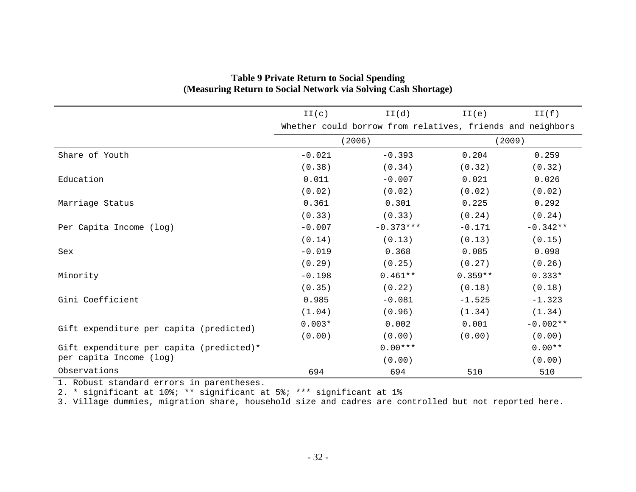|                                          | II(c)    | II(d)                                                      | II(e)     | II(f)      |
|------------------------------------------|----------|------------------------------------------------------------|-----------|------------|
|                                          |          | Whether could borrow from relatives, friends and neighbors |           |            |
|                                          |          | (2006)                                                     |           | (2009)     |
| Share of Youth                           | $-0.021$ | $-0.393$                                                   | 0.204     | 0.259      |
|                                          | (0.38)   | (0.34)                                                     | (0.32)    | (0.32)     |
| Education                                | 0.011    | $-0.007$                                                   | 0.021     | 0.026      |
|                                          | (0.02)   | (0.02)                                                     | (0.02)    | (0.02)     |
| Marriage Status                          | 0.361    | 0.301                                                      | 0.225     | 0.292      |
|                                          | (0.33)   | (0.33)                                                     | (0.24)    | (0.24)     |
| Per Capita Income (log)                  | $-0.007$ | $-0.373***$                                                | $-0.171$  | $-0.342**$ |
|                                          | (0.14)   | (0.13)                                                     | (0.13)    | (0.15)     |
| Sex                                      | $-0.019$ | 0.368                                                      | 0.085     | 0.098      |
|                                          | (0.29)   | (0.25)                                                     | (0.27)    | (0.26)     |
| Minority                                 | $-0.198$ | $0.461**$                                                  | $0.359**$ | $0.333*$   |
|                                          | (0.35)   | (0.22)                                                     | (0.18)    | (0.18)     |
| Gini Coefficient                         | 0.985    | $-0.081$                                                   | $-1.525$  | $-1.323$   |
|                                          | (1.04)   | (0.96)                                                     | (1.34)    | (1.34)     |
| Gift expenditure per capita (predicted)  | $0.003*$ | 0.002                                                      | 0.001     | $-0.002**$ |
|                                          | (0.00)   | (0.00)                                                     | (0.00)    | (0.00)     |
| Gift expenditure per capita (predicted)* |          | $0.00***$                                                  |           | $0.00**$   |
| per capita Income (log)                  |          | (0.00)                                                     |           | (0.00)     |
| Observations                             | 694      | 694                                                        | 510       | 510        |

### **Table 9 Private Return to Social Spending (Measuring Return to Social Network via Solving Cash Shortage)**

1. Robust standard errors in parentheses.

2. \* significant at 10%; \*\* significant at 5%; \*\*\* significant at 1%

3. Village dummies, migration share, household size and cadres are controlled but not reported here.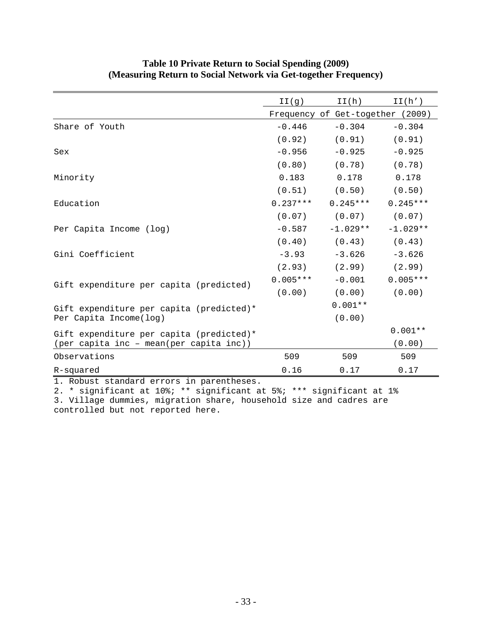|                                          | II(g)      | II(h)                            | II(h')     |
|------------------------------------------|------------|----------------------------------|------------|
|                                          |            | Frequency of Get-together (2009) |            |
| Share of Youth                           | $-0.446$   | $-0.304$                         | $-0.304$   |
|                                          | (0.92)     | (0.91)                           | (0.91)     |
| Sex                                      | $-0.956$   | $-0.925$                         | $-0.925$   |
|                                          | (0.80)     | (0.78)                           | (0.78)     |
| Minority                                 | 0.183      | 0.178                            | 0.178      |
|                                          | (0.51)     | (0.50)                           | (0.50)     |
| Education                                | $0.237***$ | $0.245***$                       | $0.245***$ |
|                                          | (0.07)     | (0.07)                           | (0.07)     |
| Per Capita Income (log)                  | $-0.587$   | $-1.029**$                       | $-1.029**$ |
|                                          | (0.40)     | (0.43)                           | (0.43)     |
| Gini Coefficient                         | $-3.93$    | $-3.626$                         | $-3.626$   |
|                                          | (2.93)     | (2.99)                           | (2.99)     |
| Gift expenditure per capita (predicted)  | $0.005***$ | $-0.001$                         | $0.005***$ |
|                                          | (0.00)     | (0.00)                           | (0.00)     |
| Gift expenditure per capita (predicted)* |            | $0.001**$                        |            |
| Per Capita Income(log)                   |            | (0.00)                           |            |
| Gift expenditure per capita (predicted)* |            |                                  | $0.001**$  |
| (per capita inc - mean(per capita inc))  |            |                                  | (0.00)     |
| Observations                             | 509        | 509                              | 509        |
| R-squared                                | 0.16       | 0.17                             | 0.17       |

### **Table 10 Private Return to Social Spending (2009) (Measuring Return to Social Network via Get-together Frequency)**

1. Robust standard errors in parentheses.

2. \* significant at 10%; \*\* significant at 5%; \*\*\* significant at 1% 3. Village dummies, migration share, household size and cadres are controlled but not reported here.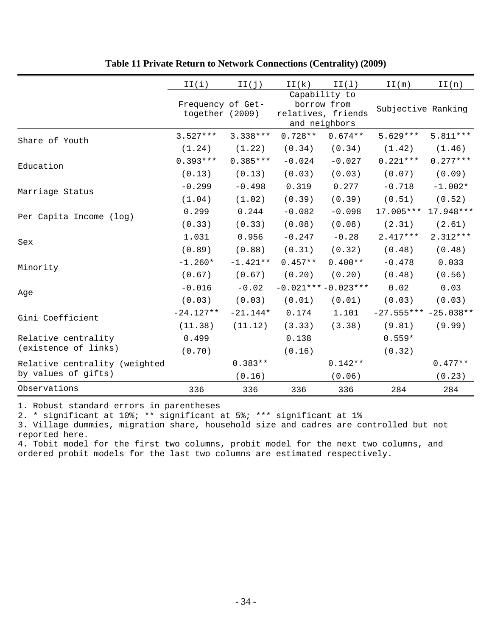|                               | II(i)                                | II(j)      | II(k)     | II(1)                                                               | II(m)                  | II(n)      |
|-------------------------------|--------------------------------------|------------|-----------|---------------------------------------------------------------------|------------------------|------------|
|                               | Frequency of Get-<br>together (2009) |            |           | Capability to<br>borrow from<br>relatives, friends<br>and neighbors | Subjective Ranking     |            |
| Share of Youth                | $3.527***$                           | $3.338***$ | $0.728**$ | $0.674**$                                                           | $5.629***$             | $5.811***$ |
|                               | (1.24)                               | (1.22)     | (0.34)    | (0.34)                                                              | (1.42)                 | (1.46)     |
| Education                     | $0.393***$                           | $0.385***$ | $-0.024$  | $-0.027$                                                            | $0.221***$             | $0.277***$ |
|                               | (0.13)                               | (0.13)     | (0.03)    | (0.03)                                                              | (0.07)                 | (0.09)     |
| Marriage Status               | $-0.299$                             | $-0.498$   | 0.319     | 0.277                                                               | $-0.718$               | $-1.002*$  |
|                               | (1.04)                               | (1.02)     | (0.39)    | (0.39)                                                              | (0.51)                 | (0.52)     |
| Per Capita Income (log)       | 0.299                                | 0.244      | $-0.082$  | $-0.098$                                                            | 17.005 ***             | 17.948 *** |
|                               | (0.33)                               | (0.33)     | (0.08)    | (0.08)                                                              | (2.31)                 | (2.61)     |
| Sex                           | 1.031                                | 0.956      | $-0.247$  | $-0.28$                                                             | $2.417***$             | $2.312***$ |
|                               | (0.89)                               | (0.88)     | (0.31)    | (0.32)                                                              | (0.48)                 | (0.48)     |
| Minority                      | $-1.260*$                            | $-1.421**$ | $0.457**$ | $0.400**$                                                           | $-0.478$               | 0.033      |
|                               | (0.67)                               | (0.67)     | (0.20)    | (0.20)                                                              | (0.48)                 | (0.56)     |
| Age                           | $-0.016$                             | $-0.02$    |           | $-0.021***-0.023***$                                                | 0.02                   | 0.03       |
|                               | (0.03)                               | (0.03)     | (0.01)    | (0.01)                                                              | (0.03)                 | (0.03)     |
| Gini Coefficient              | $-24.127**$                          | $-21.144*$ | 0.174     | 1.101                                                               | $-27.555*** -25.038**$ |            |
|                               | (11.38)                              | (11.12)    | (3.33)    | (3.38)                                                              | (9.81)                 | (9.99)     |
| Relative centrality           | 0.499                                |            | 0.138     |                                                                     | $0.559*$               |            |
| (existence of links)          | (0.70)                               |            | (0.16)    |                                                                     | (0.32)                 |            |
| Relative centrality (weighted |                                      | $0.383**$  |           | $0.142**$                                                           |                        | $0.477**$  |
| by values of gifts)           |                                      | (0.16)     |           | (0.06)                                                              |                        | (0.23)     |
| Observations                  | 336                                  | 336        | 336       | 336                                                                 | 284                    | 284        |

### **Table 11 Private Return to Network Connections (Centrality) (2009)**

1. Robust standard errors in parentheses

2. \* significant at 10%; \*\* significant at 5%; \*\*\* significant at 1%

3. Village dummies, migration share, household size and cadres are controlled but not reported here.

4. Tobit model for the first two columns, probit model for the next two columns, and ordered probit models for the last two columns are estimated respectively.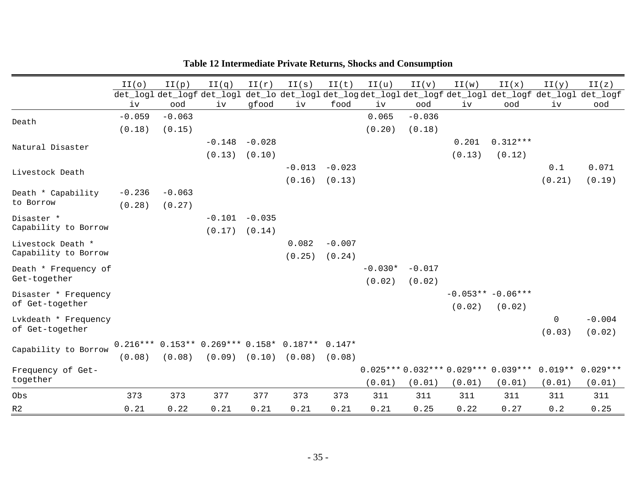|                                           | II(0)    | II(p)    | II(q)                                           | II(r)    | II(s)    | II(t)    | II(u)     | II(v)    | II(w)  | II(x)                                     | II(y)  | II(z)                                                                        |
|-------------------------------------------|----------|----------|-------------------------------------------------|----------|----------|----------|-----------|----------|--------|-------------------------------------------|--------|------------------------------------------------------------------------------|
|                                           |          |          | det_log1 det_logf det_log1                      |          |          |          |           |          |        |                                           |        | det_lo det_log1 det_logdet_log1 det_logf det_log1 det_logf det_log1 det_logf |
|                                           | iv       | ood      | iv                                              | gfood    | iv       | food     | iv        | ood      | iv     | ood                                       | iv     | ood                                                                          |
| Death                                     | $-0.059$ | $-0.063$ |                                                 |          |          |          | 0.065     | $-0.036$ |        |                                           |        |                                                                              |
|                                           | (0.18)   | (0.15)   |                                                 |          |          |          | (0.20)    | (0.18)   |        |                                           |        |                                                                              |
| Natural Disaster                          |          |          | $-0.148$                                        | $-0.028$ |          |          |           |          | 0.201  | $0.312***$                                |        |                                                                              |
|                                           |          |          | (0.13)                                          | (0.10)   |          |          |           |          | (0.13) | (0.12)                                    |        |                                                                              |
| Livestock Death                           |          |          |                                                 |          | $-0.013$ | $-0.023$ |           |          |        |                                           | 0.1    | 0.071                                                                        |
|                                           |          |          |                                                 |          | (0.16)   | (0.13)   |           |          |        |                                           | (0.21) | (0.19)                                                                       |
| Death * Capability<br>to Borrow           | $-0.236$ | $-0.063$ |                                                 |          |          |          |           |          |        |                                           |        |                                                                              |
|                                           | (0.28)   | (0.27)   |                                                 |          |          |          |           |          |        |                                           |        |                                                                              |
| Disaster *<br>Capability to Borrow        |          |          | $-0.101$                                        | $-0.035$ |          |          |           |          |        |                                           |        |                                                                              |
|                                           |          |          | (0.17)                                          | (0.14)   |          |          |           |          |        |                                           |        |                                                                              |
| Livestock Death *<br>Capability to Borrow |          |          |                                                 |          | 0.082    | $-0.007$ |           |          |        |                                           |        |                                                                              |
|                                           |          |          |                                                 |          | (0.25)   | (0.24)   |           |          |        |                                           |        |                                                                              |
| Death * Frequency of<br>Get-together      |          |          |                                                 |          |          |          | $-0.030*$ | $-0.017$ |        |                                           |        |                                                                              |
|                                           |          |          |                                                 |          |          |          | (0.02)    | (0.02)   |        |                                           |        |                                                                              |
| Disaster * Frequency<br>of Get-together   |          |          |                                                 |          |          |          |           |          |        | $-0.053** -0.06***$                       |        |                                                                              |
|                                           |          |          |                                                 |          |          |          |           |          | (0.02) | (0.02)                                    |        |                                                                              |
| Lvkdeath * Frequency<br>of Get-together   |          |          |                                                 |          |          |          |           |          |        |                                           | 0      | $-0.004$                                                                     |
|                                           |          |          |                                                 |          |          |          |           |          |        |                                           | (0.03) | (0.02)                                                                       |
| Capability to Borrow                      |          |          | 0.216*** 0.153** 0.269*** 0.158* 0.187** 0.147* |          |          |          |           |          |        |                                           |        |                                                                              |
|                                           | (0.08)   | (0.08)   | (0.09)                                          | (0.10)   | (0.08)   | (0.08)   |           |          |        |                                           |        |                                                                              |
| Frequency of Get-<br>together             |          |          |                                                 |          |          |          |           |          |        | $0.025***0.032***0.029***0.039***0.019**$ |        | $0.029***$                                                                   |
|                                           |          |          |                                                 |          |          |          | (0.01)    | (0.01)   | (0.01) | (0.01)                                    | (0.01) | (0.01)                                                                       |
| Obs                                       | 373      | 373      | 377                                             | 377      | 373      | 373      | 311       | 311      | 311    | 311                                       | 311    | 311                                                                          |
| R <sub>2</sub>                            | 0.21     | 0.22     | 0.21                                            | 0.21     | 0.21     | 0.21     | 0.21      | 0.25     | 0.22   | 0.27                                      | 0.2    | 0.25                                                                         |

## **Table 12 Intermediate Private Returns, Shocks and Consumption**